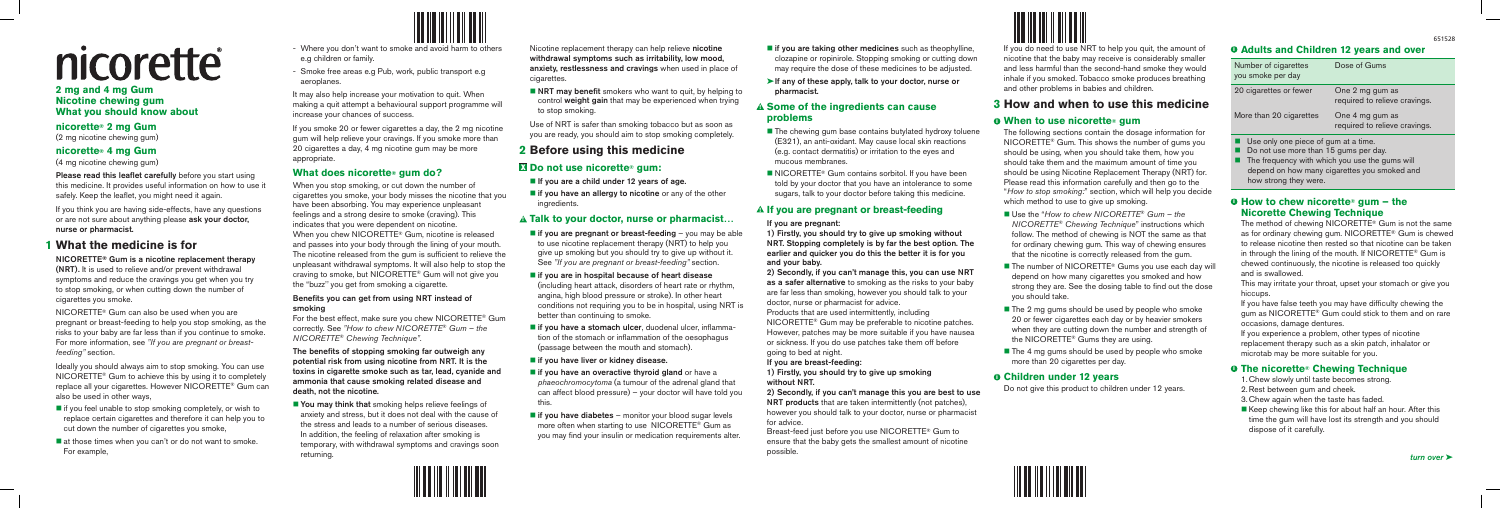# nicorette

#### **2 mg and 4 mg Gum Nicotine chewing gum What you should know about**

#### **nicorette® 2 mg Gum**

(2 mg nicotine chewing gum)

#### **nicorette® 4 mg Gum**

(4 mg nicotine chewing gum)

Please read this leaflet carefully before you start using this medicine. It provides useful information on how to use it safely. Keep the leaflet, you might need it again.

If you think you are having side-effects, have any questions or are not sure about anything please ask your doctor, nurse or pharmacist.

## **1 What the medicine is for**

#### NICORETTE**®** Gum is a nicotine replacement therapy (NRT). It is used to relieve and/or prevent withdrawal symptoms and reduce the cravings you get when you try to stop smoking, or when cutting down the number of cigarettes you smoke.

- $\blacksquare$  if you feel unable to stop smoking completely, or wish to replace certain cigarettes and therefore it can help you to cut down the number of cigarettes you smoke,
- $\blacksquare$  at those times when you can't or do not want to smoke. For example,



NICORETTE® Gum can also be used when you are pregnant or breast-feeding to help you stop smoking, as the risks to your baby are far less than if you continue to smoke. For more information, see *"If you are pregnant or breastfeeding"* section.

Ideally you should always aim to stop smoking. You can use NICORETTE® Gum to achieve this by using it to completely replace all your cigarettes. However NICORETTE® Gum can also be used in other ways,

- Where you don't want to smoke and avoid harm to others e.g children or family.
- Smoke free areas e.g Pub, work, public transport e.g aeroplanes.

 $\blacksquare$  You may think that smoking helps relieve feelings of anxiety and stress, but it does not deal with the cause of the stress and leads to a number of serious diseases. In addition, the feeling of relaxation after smoking is temporary, with withdrawal symptoms and cravings soon returning.

It may also help increase your motivation to quit. When making a quit attempt a behavioural support programme will increase your chances of success.

 $\blacksquare$  NRT may benefit smokers who want to quit, by helping to control weight gain that may be experienced when trying to stop smoking.

If you smoke 20 or fewer cigarettes a day, the 2 mg nicotine gum will help relieve your cravings. If you smoke more than 20 cigarettes a day, 4 mg nicotine gum may be more appropriate.

#### **What does nicorette® gum do?**

- $\blacksquare$  If you are a child under 12 years of age.
- $\blacksquare$  if you have an allergy to nicotine or any of the other ingredients.

When you stop smoking, or cut down the number of cigarettes you smoke, your body misses the nicotine that you have been absorbing. You may experience unpleasant feelings and a strong desire to smoke (craving). This indicates that you were dependent on nicotine. When you chew NICORETTE® Gum, nicotine is released and passes into your body through the lining of your mouth. The nicotine released from the gum is sufficient to relieve the unpleasant withdrawal symptoms. It will also help to stop the craving to smoke, but NICORETTE® Gum will not give you the "buzz'' you get from smoking a cigarette.

- $\blacksquare$  if you are pregnant or breast-feeding you may be able to use nicotine replacement therapy (NRT) to help you give up smoking but you should try to give up without it. See *"If you are pregnant or breast-feeding"* section.
- $\blacksquare$  if you are in hospital because of heart disease (including heart attack, disorders of heart rate or rhythm, angina, high blood pressure or stroke). In other heart conditions not requiring you to be in hospital, using NRT is better than continuing to smoke.
- $\blacksquare$  if you have a stomach ulcer, duodenal ulcer, inflammation of the stomach or inflammation of the oesophagus (passage between the mouth and stomach).

#### $\blacksquare$  if you have liver or kidney disease.

- $\blacksquare$  if you have an overactive thyroid gland or have a *phaeochromocytoma* (a tumour of the adrenal gland that can affect blood pressure) – your doctor will have told you this.
- $\blacksquare$  if you have diabetes monitor your blood sugar levels more often when starting to use NICORETTE® Gum as you may find your insulin or medication requirements alter.

 $\blacksquare$  if you are taking other medicines such as theophylline, clozapine or ropinirole. Stopping smoking or cutting down may require the dose of these medicines to be adjusted.

#### Benefits you can get from using NRT instead of smoking

For the best effect, make sure you chew NICORETTE® Gum correctly. See *"How to chew NICORETTE*® *Gum – the NICORETTE*® *Chewing Technique"*.

 $\blacksquare$  The chewing gum base contains butylated hydroxy toluene (E321), an anti-oxidant. May cause local skin reactions (e.g. contact dermatitis) or irritation to the eyes and

 $\blacksquare$  NICORETTE<sup>®</sup> Gum contains sorbitol. If you have been told by your doctor that you have an intolerance to some sugars, talk to your doctor before taking this medicine.

The benefits of stopping smoking far outweigh any potential risk from using nicotine from NRT. It is the toxins in cigarette smoke such as tar, lead, cyanide and ammonia that cause smoking related disease and death, not the nicotine.

- as a safer alternative to smoking as the risks to your baby are far less than smoking, however you should talk to your
	-
- NICORETTE® Gum may be preferable to nicotine patches. However, patches may be more suitable if you have nausea or sickness. If you do use patches take them off before

#### <u> HIII III IIII III III IIII III</u>

Nicotine replacement therapy can help relieve nicotine withdrawal symptoms such as irritability, low mood, anxiety, restlessness and cravings when used in place of cigarettes.

Use of NRT is safer than smoking tobacco but as soon as you are ready, you should aim to stop smoking completely.

## **2 Before using this medicine**

#### X **Do not use nicorette**® **gum:**

#### ! **Talk to your doctor, nurse or pharmacist…**

- Use the "*How to chew NICORETTE*® *Gum the NICORETTE*® *Chewing Technique*" instructions which follow. The method of chewing is NOT the same as that for ordinary chewing gum. This way of chewing ensures that the nicotine is correctly released from the gum.
- $\blacksquare$  The number of NICORETTE<sup>®</sup> Gums you use each day will depend on how many cigarettes you smoked and how strong they are. See the dosing table to find out the dose you should take.
- $\blacksquare$  The 2 mg gums should be used by people who smoke 20 or fewer cigarettes each day or by heavier smokers when they are cutting down the number and strength of the NICORETTE® Gums they are using.
- $\blacksquare$  The 4 mg gums should be used by people who smoke more than 20 cigarettes per day.

#### $\theta$  **Children under 12 years**

- $\Box$  Do not use more than 15 gums per day.
- $\blacksquare$  The frequency with which you use the gums will depend on how many cigarettes you smoked and how strong they were.

#### $\theta$  **How to chew nicorette**<sup>®</sup> gum – the **Nicorette Chewing Technique**

- 
- ➤If any of these apply, talk to your doctor, nurse or pharmacist.

#### ! **Some of the ingredients can cause problems**

- mucous membranes.
- 

#### ! **If you are pregnant or breast-feeding**

If you are pregnant: 1) Firstly, you should try to give up smoking without NRT. Stopping completely is by far the best option. The earlier and quicker you do this the better it is for you and your baby.

#### 2) Secondly, if you can't manage this, you can use NRT

doctor, nurse or pharmacist for advice. Products that are used intermittently, including going to bed at night.

If you are breast-feeding: 1) Firstly, you should try to give up smoking without NRT.

2) Secondly, if you can't manage this you are best to use NRT products that are taken intermittently (not patches), however you should talk to your doctor, nurse or pharmacist for advice.

Breast-feed just before you use NICORETTE® Gum to ensure that the baby gets the smallest amount of nicotine possible.

If you do need to use NRT to help you quit, the amount of nicotine that the baby may receive is considerably smaller and less harmful than the second-hand smoke they would inhale if you smoked. Tobacco smoke produces breathing and other problems in babies and children.

#### **3 How and when to use this medicine**

#### $\theta$  When to use nicorette<sup>®</sup> gum

The following sections contain the dosage information for NICORETTE® Gum. This shows the number of gums you should be using, when you should take them, how you should take them and the maximum amount of time you should be using Nicotine Replacement Therapy (NRT) for. Please read this information carefully and then go to the "*How to stop smoking:*" section, which will help you decide which method to use to give up smoking.

Do not give this product to children under 12 years.

#### $\theta$  **Adults and Children 12 years and over**

| Number of cigarettes<br>you smoke per day | Dose of Gums                                     |
|-------------------------------------------|--------------------------------------------------|
| 20 cigarettes or fewer                    | One 2 mg gum as<br>required to relieve cravings. |
| More than 20 cigarettes                   | One 4 mg gum as<br>required to relieve cravings. |
|                                           |                                                  |

 $\blacksquare$  Use only one piece of gum at a time.

The method of chewing NICORETTE® Gum is not the same as for ordinary chewing gum. NICORETTE® Gum is chewed to release nicotine then rested so that nicotine can be taken in through the lining of the mouth. If NICORETTE® Gum is chewed continuously, the nicotine is released too quickly and is swallowed.

This may irritate your throat, upset your stomach or give you hiccups.

If you have false teeth you may have difficulty chewing the gum as NICORETTE® Gum could stick to them and on rare occasions, damage dentures.

If you experience a problem, other types of nicotine replacement therapy such as a skin patch, inhalator or microtab may be more suitable for you.

#### $\theta$  **The nicorette® Chewing Technique**

- 1.Chew slowly until taste becomes strong.
- 2.Rest between gum and cheek.
- 3.Chew again when the taste has faded.
- $\blacksquare$  Keep chewing like this for about half an hour. After this time the gum will have lost its strength and you should dispose of it carefully.

651528